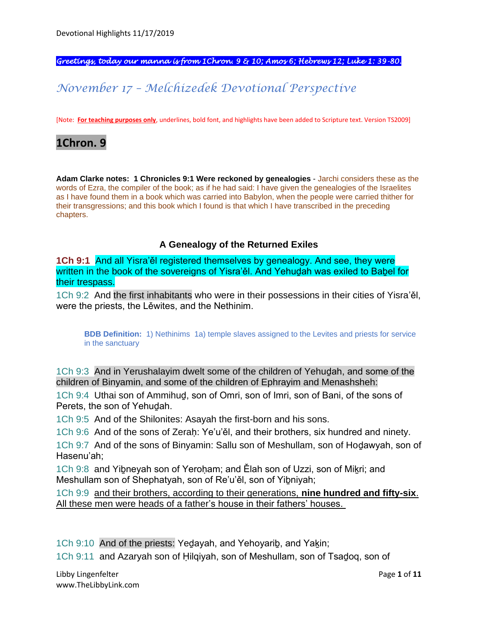*Greetings, today our manna is from 1Chron. 9 & 10; Amos 6; Hebrews 12; Luke 1: 39-80.* 

# *November 17 – Melchizedek Devotional Perspective*

[Note: **For teaching purposes only**, underlines, bold font, and highlights have been added to Scripture text. Version TS2009]

# **1Chron. 9**

**Adam Clarke notes: 1 Chronicles 9:1 Were reckoned by genealogies** - Jarchi considers these as the words of Ezra, the compiler of the book; as if he had said: I have given the genealogies of the Israelites as I have found them in a book which was carried into Babylon, when the people were carried thither for their transgressions; and this book which I found is that which I have transcribed in the preceding chapters.

#### **A Genealogy of the Returned Exiles**

**1Ch 9:1** And all Yisra'ěl registered themselves by genealogy. And see, they were written in the book of the sovereigns of Yisra'ěl. And Yehudah was exiled to Babel for their trespass.

1Ch 9:2 And the first inhabitants who were in their possessions in their cities of Yisra'ěl, were the priests, the Lěwites, and the Nethinim.

**BDB Definition:** 1) Nethinims 1a) temple slaves assigned to the Levites and priests for service in the sanctuary

1Ch 9:3 And in Yerushalayim dwelt some of the children of Yehuḏah, and some of the children of Binyamin, and some of the children of Ephrayim and Menashsheh:

1Ch 9:4 Uthai son of Ammihuḏ, son of Omri, son of Imri, son of Bani, of the sons of Perets, the son of Yehuḏah.

1Ch 9:5 And of the Shilonites: Asayah the first-born and his sons.

1Ch 9:6 And of the sons of Zeraḥ: Ye'u'ěl, and their brothers, six hundred and ninety.

1Ch 9:7 And of the sons of Binyamin: Sallu son of Meshullam, son of Hoḏawyah, son of Hasenu'ah;

1Ch 9:8 and Yibneyah son of Yeroham; and Ělah son of Uzzi, son of Mikri; and Meshullam son of Shephatyah, son of Re'u'ěl, son of Yiḇniyah;

1Ch 9:9 and their brothers, according to their generations, **nine hundred and fifty-six**. All these men were heads of a father's house in their fathers' houses.

1Ch 9:10 And of the priests: Yedayah, and Yehoyarib, and Yakin;

1Ch 9:11 and Azaryah son of Ḥilqiyah, son of Meshullam, son of Tsaḏoq, son of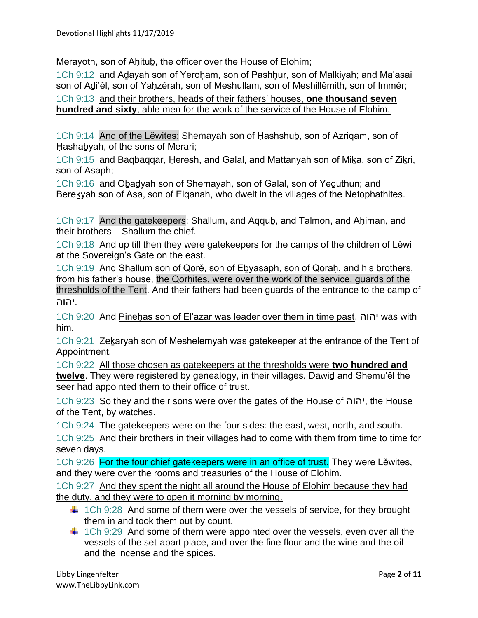Merayoth, son of Ahitub, the officer over the House of Elohim;

1Ch 9:12 and Adayah son of Yeroham, son of Pashhur, son of Malkiyah; and Ma'asai son of Adi'ěl, son of Yahzěrah, son of Meshullam, son of Meshillěmith, son of Imměr; 1Ch 9:13 and their brothers, heads of their fathers' houses, **one thousand seven hundred and sixty**, able men for the work of the service of the House of Elohim.

1Ch 9:14 And of the Lěwites: Shemayah son of Ḥashshuḇ, son of Azriqam, son of Hashabyah, of the sons of Merari;

1Ch 9:15 and Bagbaggar, Heresh, and Galal, and Mattanyah son of Mika, son of Zikri, son of Asaph;

1Ch 9:16 and Oḇaḏyah son of Shemayah, son of Galal, son of Yeḏuthun; and Bereḵyah son of Asa, son of Elqanah, who dwelt in the villages of the Netophathites.

1Ch 9:17 And the gatekeepers: Shallum, and Aggub, and Talmon, and Ahiman, and their brothers – Shallum the chief.

1Ch 9:18 And up till then they were gatekeepers for the camps of the children of Lěwi at the Sovereign's Gate on the east.

1Ch 9:19 And Shallum son of Qorě, son of Ebyasaph, son of Qorah, and his brothers, from his father's house, the Qorhites, were over the work of the service, quards of the thresholds of the Tent. And their fathers had been guards of the entrance to the camp of .יהוה

1Ch 9:20 And Pineḥas son of El'azar was leader over them in time past. יהוה was with him.

1Ch 9:21 Zekaryah son of Meshelemyah was gatekeeper at the entrance of the Tent of Appointment.

1Ch 9:22 All those chosen as gatekeepers at the thresholds were **two hundred and twelve**. They were registered by genealogy, in their villages. Dawiḏ and Shemu'ěl the seer had appointed them to their office of trust.

1Ch 9:23 So they and their sons were over the gates of the House of יהוה, the House of the Tent, by watches.

1Ch 9:24 The gatekeepers were on the four sides: the east, west, north, and south.

1Ch 9:25 And their brothers in their villages had to come with them from time to time for seven days.

1Ch 9:26 For the four chief gatekeepers were in an office of trust. They were Lewites, and they were over the rooms and treasuries of the House of Elohim.

1Ch 9:27 And they spent the night all around the House of Elohim because they had the duty, and they were to open it morning by morning.

- $\downarrow$  1Ch 9:28 And some of them were over the vessels of service, for they brought them in and took them out by count.
- $\ddagger$  1Ch 9:29 And some of them were appointed over the vessels, even over all the vessels of the set-apart place, and over the fine flour and the wine and the oil and the incense and the spices.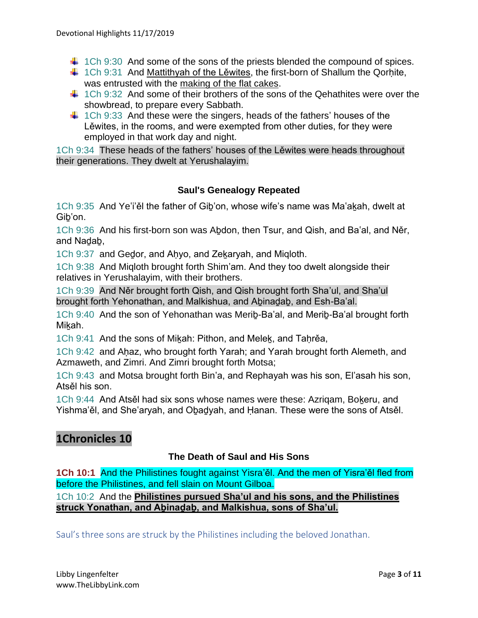- $\downarrow$  1Ch 9:30 And some of the sons of the priests blended the compound of spices.
- $\ddagger$  1Ch 9:31 And Mattithyah of the Lěwites, the first-born of Shallum the Qorḥite, was entrusted with the making of the flat cakes.
- $\ddot{\text{+}}$  1Ch 9:32 And some of their brothers of the sons of the Qehathites were over the showbread, to prepare every Sabbath.
- $\ddot$  1Ch 9:33 And these were the singers, heads of the fathers' houses of the Lěwites, in the rooms, and were exempted from other duties, for they were employed in that work day and night.

1Ch 9:34 These heads of the fathers' houses of the Lěwites were heads throughout their generations. They dwelt at Yerushalayim.

### **Saul's Genealogy Repeated**

1Ch 9:35 And Ye'i'ěl the father of Gib'on, whose wife's name was Ma'akah, dwelt at Giḇ'on.

1Ch 9:36 And his first-born son was Aḇdon, then Tsur, and Qish, and Ba'al, and Něr, and Naḏaḇ,

1Ch 9:37 and Gedor, and Ahyo, and Zekaryah, and Migloth.

1Ch 9:38 And Miqloth brought forth Shim'am. And they too dwelt alongside their relatives in Yerushalayim, with their brothers.

1Ch 9:39 And Něr brought forth Qish, and Qish brought forth Sha'ul, and Sha'ul brought forth Yehonathan, and Malkishua, and Abinadab, and Esh-Ba'al.

1Ch 9:40 And the son of Yehonathan was Meriḇ-Ba'al, and Meriḇ-Ba'al brought forth Mikah.

1Ch 9:41 And the sons of Miḵah: Pithon, and Meleḵ, and Taḥrěa,

1Ch 9:42 and Aḥaz, who brought forth Yarah; and Yarah brought forth Alemeth, and Azmaweth, and Zimri. And Zimri brought forth Motsa;

1Ch 9:43 and Motsa brought forth Bin'a, and Rephayah was his son, El'asah his son, Atsěl his son.

1Ch 9:44 And Atsěl had six sons whose names were these: Azrigam, Bokeru, and Yishma'ěl, and She'aryah, and Oḇaḏyah, and Ḥanan. These were the sons of Atsěl.

# **1Chronicles 10**

### **The Death of Saul and His Sons**

**1Ch 10:1** And the Philistines fought against Yisra'ěl. And the men of Yisra'ěl fled from before the Philistines, and fell slain on Mount Gilboa.

1Ch 10:2 And the **Philistines pursued Sha'ul and his sons, and the Philistines struck Yonathan, and Aḇinaḏaḇ, and Malkishua, sons of Sha'ul.**

Saul's three sons are struck by the Philistines including the beloved Jonathan.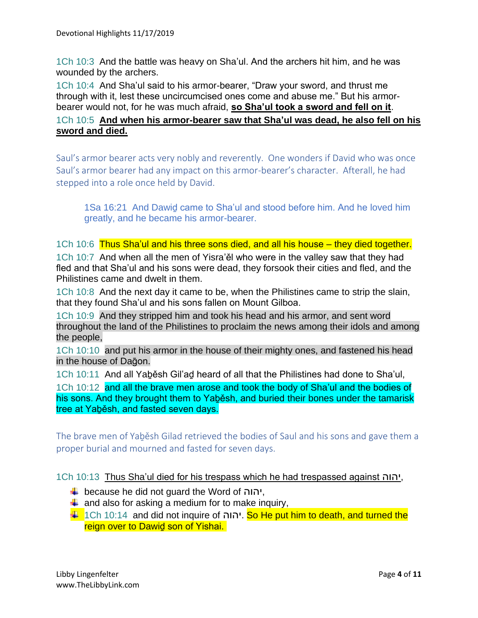1Ch 10:3 And the battle was heavy on Sha'ul. And the archers hit him, and he was wounded by the archers.

1Ch 10:4 And Sha'ul said to his armor-bearer, "Draw your sword, and thrust me through with it, lest these uncircumcised ones come and abuse me." But his armorbearer would not, for he was much afraid, **so Sha'ul took a sword and fell on it**.

## 1Ch 10:5 **And when his armor-bearer saw that Sha'ul was dead, he also fell on his sword and died.**

Saul's armor bearer acts very nobly and reverently. One wonders if David who was once Saul's armor bearer had any impact on this armor-bearer's character. Afterall, he had stepped into a role once held by David.

1Sa 16:21 And Dawiḏ came to Sha'ul and stood before him. And he loved him greatly, and he became his armor-bearer.

1Ch 10:6 Thus Sha'ul and his three sons died, and all his house – they died together. 1Ch 10:7 And when all the men of Yisra'ěl who were in the valley saw that they had fled and that Sha'ul and his sons were dead, they forsook their cities and fled, and the Philistines came and dwelt in them.

1Ch 10:8 And the next day it came to be, when the Philistines came to strip the slain, that they found Sha'ul and his sons fallen on Mount Gilboa.

1Ch 10:9 And they stripped him and took his head and his armor, and sent word throughout the land of the Philistines to proclaim the news among their idols and among the people,

1Ch 10:10 and put his armor in the house of their mighty ones, and fastened his head in the house of Daḡon.

1Ch 10:11 And all Yaḇěsh Gil'aḏ heard of all that the Philistines had done to Sha'ul,

1Ch 10:12 and all the brave men arose and took the body of Sha'ul and the bodies of his sons. And they brought them to Yaḇěsh, and buried their bones under the tamarisk tree at Yaběsh, and fasted seven days.

The brave men of Yaḇěsh Gilad retrieved the bodies of Saul and his sons and gave them a proper burial and mourned and fasted for seven days.

1Ch 10:13 Thus Sha'ul died for his trespass which he had trespassed against יהוה,

- because he did not guard the Word of יהוה,
- $\ddot{+}$  and also for asking a medium for to make inquiry,
- $\downarrow$  1Ch 10:14 and did not inquire of יהוה. So He put him to death, and turned the reign over to Dawid son of Yishai.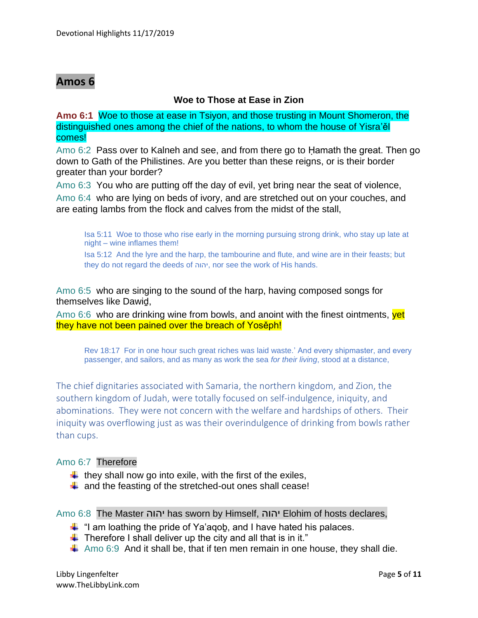# **Amos 6**

### **Woe to Those at Ease in Zion**

**Amo 6:1** Woe to those at ease in Tsiyon, and those trusting in Mount Shomeron, the distinguished ones among the chief of the nations, to whom the house of Yisra'ěl comes!

Amo 6:2 Pass over to Kalneh and see, and from there go to Ḥamath the great. Then go down to Gath of the Philistines. Are you better than these reigns, or is their border greater than your border?

Amo 6:3 You who are putting off the day of evil, yet bring near the seat of violence,

Amo 6:4 who are lying on beds of ivory, and are stretched out on your couches, and are eating lambs from the flock and calves from the midst of the stall,

Isa 5:11 Woe to those who rise early in the morning pursuing strong drink, who stay up late at night – wine inflames them!

Isa 5:12 And the lyre and the harp, the tambourine and flute, and wine are in their feasts; but they do not regard the deeds of יהוה, nor see the work of His hands.

Amo 6:5 who are singing to the sound of the harp, having composed songs for themselves like Dawiḏ,

Amo 6:6 who are drinking wine from bowls, and anoint with the finest ointments,  $|$ yet they have not been pained over the breach of Yosěph!

Rev 18:17 For in one hour such great riches was laid waste.' And every shipmaster, and every passenger, and sailors, and as many as work the sea *for their living*, stood at a distance,

The chief dignitaries associated with Samaria, the northern kingdom, and Zion, the southern kingdom of Judah, were totally focused on self-indulgence, iniquity, and abominations. They were not concern with the welfare and hardships of others. Their iniquity was overflowing just as was their overindulgence of drinking from bowls rather than cups.

### Amo 6:7 Therefore

- $\downarrow$  they shall now go into exile, with the first of the exiles,
- $\ddot{+}$  and the feasting of the stretched-out ones shall cease!

Amo 6:8 The Master יהוה has sworn by Himself, יהוה Elohim of hosts declares,

- $\ddagger$  "I am loathing the pride of Ya'aqob, and I have hated his palaces.
- $\ddot{\phantom{1}}$  Therefore I shall deliver up the city and all that is in it."
- $\ddot$  Amo 6:9 And it shall be, that if ten men remain in one house, they shall die.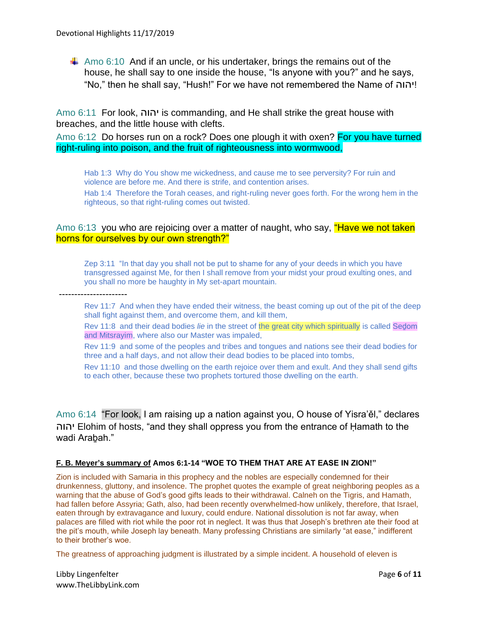$\downarrow$  Amo 6:10 And if an uncle, or his undertaker, brings the remains out of the house, he shall say to one inside the house, "Is anyone with you?" and he says, "No," then he shall say, "Hush!" For we have not remembered the Name of יהוה!

Amo 6:11 For look, יהוה is commanding, and He shall strike the great house with breaches, and the little house with clefts.

Amo 6:12 Do horses run on a rock? Does one plough it with oxen? For you have turned right-ruling into poison, and the fruit of righteousness into wormwood,

Hab 1:3 Why do You show me wickedness, and cause me to see perversity? For ruin and violence are before me. And there is strife, and contention arises. Hab 1:4 Therefore the Torah ceases, and right-ruling never goes forth. For the wrong hem in the righteous, so that right-ruling comes out twisted.

#### Amo 6:13 you who are rejoicing over a matter of naught, who say, "Have we not taken" horns for ourselves by our own strength?"

Zep 3:11 "In that day you shall not be put to shame for any of your deeds in which you have transgressed against Me, for then I shall remove from your midst your proud exulting ones, and you shall no more be haughty in My set-apart mountain.

----------------------

Rev 11:7 And when they have ended their witness, the beast coming up out of the pit of the deep shall fight against them, and overcome them, and kill them,

Rev 11:8 and their dead bodies *lie* in the street of the great city which spiritually is called Sedom and Mitsrayim, where also our Master was impaled,

Rev 11:9 and some of the peoples and tribes and tongues and nations see their dead bodies for three and a half days, and not allow their dead bodies to be placed into tombs,

Rev 11:10 and those dwelling on the earth rejoice over them and exult. And they shall send gifts to each other, because these two prophets tortured those dwelling on the earth.

Amo 6:14 "For look, I am raising up a nation against you, O house of Yisra'ěl," declares יהוה Elohim of hosts, "and they shall oppress you from the entrance of Ḥamath to the wadi Araḇah."

#### **F. B. Meyer's summary of Amos 6:1-14 "WOE TO THEM THAT ARE AT EASE IN ZION!"**

Zion is included with Samaria in this prophecy and the nobles are especially condemned for their drunkenness, gluttony, and insolence. The prophet quotes the example of great neighboring peoples as a warning that the abuse of God's good gifts leads to their withdrawal. Calneh on the Tigris, and Hamath, had fallen before Assyria; Gath, also, had been recently overwhelmed-how unlikely, therefore, that Israel, eaten through by extravagance and luxury, could endure. National dissolution is not far away, when palaces are filled with riot while the poor rot in neglect. It was thus that Joseph's brethren ate their food at the pit's mouth, while Joseph lay beneath. Many professing Christians are similarly "at ease," indifferent to their brother's woe.

The greatness of approaching judgment is illustrated by a simple incident. A household of eleven is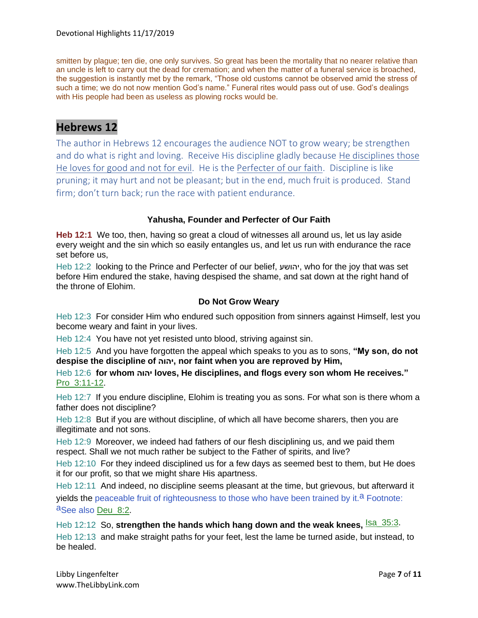smitten by plague; ten die, one only survives. So great has been the mortality that no nearer relative than an uncle is left to carry out the dead for cremation; and when the matter of a funeral service is broached, the suggestion is instantly met by the remark, "Those old customs cannot be observed amid the stress of such a time; we do not now mention God's name." Funeral rites would pass out of use. God's dealings with His people had been as useless as plowing rocks would be.

# **Hebrews 12**

The author in Hebrews 12 encourages the audience NOT to grow weary; be strengthen and do what is right and loving. Receive His discipline gladly because He disciplines those He loves for good and not for evil. He is the Perfecter of our faith. Discipline is like pruning; it may hurt and not be pleasant; but in the end, much fruit is produced. Stand firm; don't turn back; run the race with patient endurance.

#### **Yahusha, Founder and Perfecter of Our Faith**

**Heb 12:1** We too, then, having so great a cloud of witnesses all around us, let us lay aside every weight and the sin which so easily entangles us, and let us run with endurance the race set before us,

Heb 12:2 looking to the Prince and Perfecter of our belief, יהושע, who for the joy that was set before Him endured the stake, having despised the shame, and sat down at the right hand of the throne of Elohim.

#### **Do Not Grow Weary**

Heb 12:3 For consider Him who endured such opposition from sinners against Himself, lest you become weary and faint in your lives.

Heb 12:4 You have not yet resisted unto blood, striving against sin.

Heb 12:5 And you have forgotten the appeal which speaks to you as to sons, **"My son, do not despise the discipline of יהוה, nor faint when you are reproved by Him,**

Heb 12:6 **for whom יהוה loves, He disciplines, and flogs every son whom He receives."** Pro\_3:11-12.

Heb 12:7 If you endure discipline, Elohim is treating you as sons. For what son is there whom a father does not discipline?

Heb 12:8 But if you are without discipline, of which all have become sharers, then you are illegitimate and not sons.

Heb 12:9 Moreover, we indeed had fathers of our flesh disciplining us, and we paid them respect. Shall we not much rather be subject to the Father of spirits, and live?

Heb 12:10 For they indeed disciplined us for a few days as seemed best to them, but He does it for our profit, so that we might share His apartness.

Heb 12:11 And indeed, no discipline seems pleasant at the time, but grievous, but afterward it yields the peaceable fruit of righteousness to those who have been trained by it.<sup>a</sup> Footnote: aSee also Deu\_8:2.

Heb 12:12 So, **strengthen the hands which hang down and the weak knees, <sup>Isa\_35:3</sup>.** Heb 12:13 and make straight paths for your feet, lest the lame be turned aside, but instead, to be healed.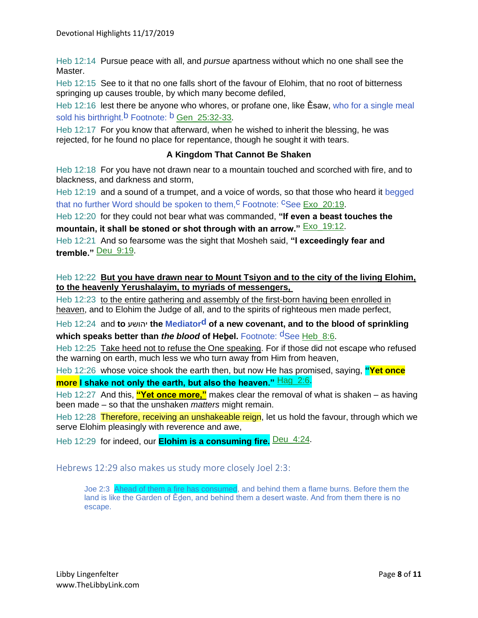Heb 12:14 Pursue peace with all, and *pursue* apartness without which no one shall see the Master.

Heb 12:15 See to it that no one falls short of the favour of Elohim, that no root of bitterness springing up causes trouble, by which many become defiled,

Heb 12:16 lest there be anyone who whores, or profane one, like Ěsaw, who for a single meal sold his birthright.<sup>b</sup> Footnote: <sup>b</sup> Gen\_25:32-33.

Heb 12:17 For you know that afterward, when he wished to inherit the blessing, he was rejected, for he found no place for repentance, though he sought it with tears.

#### **A Kingdom That Cannot Be Shaken**

Heb 12:18 For you have not drawn near to a mountain touched and scorched with fire, and to blackness, and darkness and storm,

Heb 12:19 and a sound of a trumpet, and a voice of words, so that those who heard it begged that no further Word should be spoken to them,  $c^C$  Footnote:  $c^C$ See Exo 20:19.

Heb 12:20 for they could not bear what was commanded, **"If even a beast touches the mountain, it shall be stoned or shot through with an arrow."** Exo\_19:12.

Heb 12:21 And so fearsome was the sight that Mosheh said, **"I exceedingly fear and tremble."** Deu\_9:19.

#### Heb 12:22 **But you have drawn near to Mount Tsiyon and to the city of the living Elohim, to the heavenly Yerushalayim, to myriads of messengers,**

Heb 12:23 to the entire gathering and assembly of the first-born having been enrolled in heaven, and to Elohim the Judge of all, and to the spirits of righteous men made perfect,

Heb 12:24 and **to** יהושע **the Mediatord of a new covenant, and to the blood of sprinkling which speaks better than** *the blood* **of Hebel.** Footnote: <sup>d</sup>See Heb 8:6.

Heb 12:25 Take heed not to refuse the One speaking. For if those did not escape who refused the warning on earth, much less we who turn away from Him from heaven,

Heb 12:26 whose voice shook the earth then, but now He has promised, saying, **"Yet once more I shake not only the earth, but also the heaven."** Hag 2:6.

Heb 12:27 And this, **"Yet once more,"** makes clear the removal of what is shaken – as having been made – so that the unshaken *matters* might remain.

Heb 12:28 Therefore, receiving an unshakeable reign, let us hold the favour, through which we serve Elohim pleasingly with reverence and awe,

Heb 12:29 for indeed, our **Elohim is a consuming fire.** Deu\_4:24.

Hebrews 12:29 also makes us study more closely Joel 2:3:

Joe 2:3 Ahead of them a fire has consumed, and behind them a flame burns. Before them the land is like the Garden of Ěḏen, and behind them a desert waste. And from them there is no escape.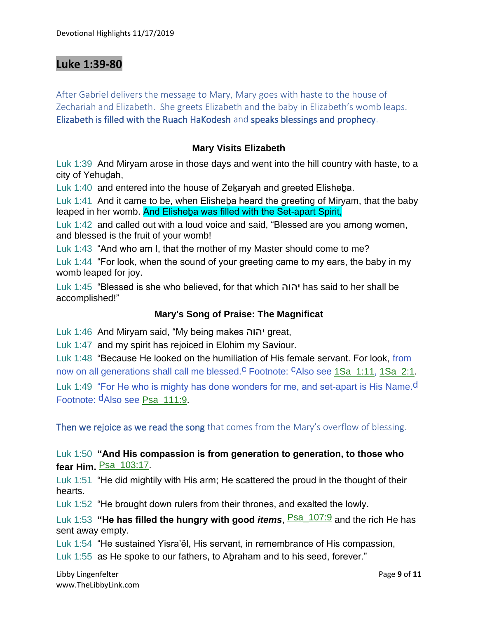# **Luke 1:39-80**

After Gabriel delivers the message to Mary, Mary goes with haste to the house of Zechariah and Elizabeth. She greets Elizabeth and the baby in Elizabeth's womb leaps. Elizabeth is filled with the Ruach HaKodesh and speaks blessings and prophecy.

### **Mary Visits Elizabeth**

Luk 1:39 And Miryam arose in those days and went into the hill country with haste, to a city of Yehuḏah,

Luk 1:40 and entered into the house of Zekaryah and greeted Elisheba.

Luk 1:41 And it came to be, when Elisheba heard the greeting of Miryam, that the baby leaped in her womb. And Elisheba was filled with the Set-apart Spirit.

Luk 1:42 and called out with a loud voice and said, "Blessed are you among women, and blessed is the fruit of your womb!

Luk 1:43 "And who am I, that the mother of my Master should come to me?

Luk 1:44 "For look, when the sound of your greeting came to my ears, the baby in my womb leaped for joy.

Luk 1:45 "Blessed is she who believed, for that which יהוה has said to her shall be accomplished!"

### **Mary's Song of Praise: The Magnificat**

Luk 1:46 And Miryam said, "My being makes יהוה great,

Luk 1:47 and my spirit has rejoiced in Elohim my Saviour.

Luk 1:48 "Because He looked on the humiliation of His female servant. For look, from now on all generations shall call me blessed.<sup>C</sup> Footnote: <sup>C</sup>Also see 1Sa\_1:11, 1Sa\_2:1.

Luk 1:49 "For He who is mighty has done wonders for me, and set-apart is His Name.<sup>d</sup> Footnote: dAlso see Psa\_111:9.

Then we rejoice as we read the song that comes from the Mary's overflow of blessing.

### Luk 1:50 **"And His compassion is from generation to generation, to those who fear Him.** Psa\_103:17.

Luk 1:51 "He did mightily with His arm; He scattered the proud in the thought of their hearts.

Luk 1:52 "He brought down rulers from their thrones, and exalted the lowly.

Luk 1:53 "He has filled the hungry with good *items*, **Psa\_107:9** and the rich He has sent away empty.

Luk 1:54 "He sustained Yisra'ěl, His servant, in remembrance of His compassion,

Luk 1:55 as He spoke to our fathers, to Abraham and to his seed, forever."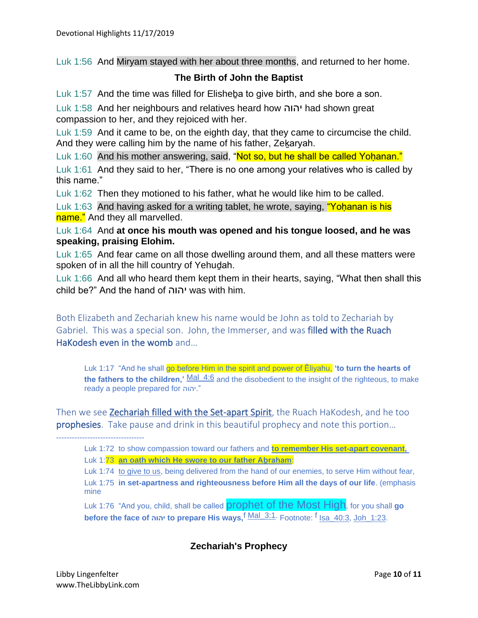Luk 1:56 And Miryam stayed with her about three months, and returned to her home.

## **The Birth of John the Baptist**

Luk 1:57 And the time was filled for Elisheḇa to give birth, and she bore a son.

Luk 1:58 And her neighbours and relatives heard how יהוה had shown great compassion to her, and they rejoiced with her.

Luk 1:59 And it came to be, on the eighth day, that they came to circumcise the child. And they were calling him by the name of his father, Zekaryah.

Luk 1:60 And his mother answering, said, "Not so, but he shall be called Yoḥanan."

Luk 1:61 And they said to her, "There is no one among your relatives who is called by this name."

Luk 1:62 Then they motioned to his father, what he would like him to be called.

Luk 1:63 And having asked for a writing tablet, he wrote, saying, "Yoḥanan is his name." And they all marvelled.

Luk 1:64 And **at once his mouth was opened and his tongue loosed, and he was speaking, praising Elohim.**

Luk 1:65 And fear came on all those dwelling around them, and all these matters were spoken of in all the hill country of Yehuḏah.

Luk 1:66 And all who heard them kept them in their hearts, saying, "What then shall this child be?" And the hand of יהוה was with him.

Both Elizabeth and Zechariah knew his name would be John as told to Zechariah by Gabriel. This was a special son. John, the Immerser, and was filled with the Ruach HaKodesh even in the womb and…

Luk 1:17 "And he shall go before Him in the spirit and power of Ěliyahu, **'to turn the hearts of the fathers to the children,'** Mal\_4:6 and the disobedient to the insight of the righteous, to make ready a people prepared for יהוה."

Then we see Zechariah filled with the Set-apart Spirit, the Ruach HaKodesh, and he too prophesies. Take pause and drink in this beautiful prophecy and note this portion...

Luk 1:72 to show compassion toward our fathers and **to remember His set-apart covenant,** Luk 1:73 **an oath which He swore to our father Aḇraham**:

Luk 1:74 to give to us, being delivered from the hand of our enemies, to serve Him without fear, Luk 1:75 **in set-apartness and righteousness before Him all the days of our life**. (emphasis mine

Luk 1:76 "And you, child, shall be called prophet of the Most High, for you shall **go before the face of יהוה to prepare His ways,**f Mal\_3:1. Footnote: f Isa\_40:3, Joh\_1:23.

# **Zechariah's Prophecy**

----------------------------------